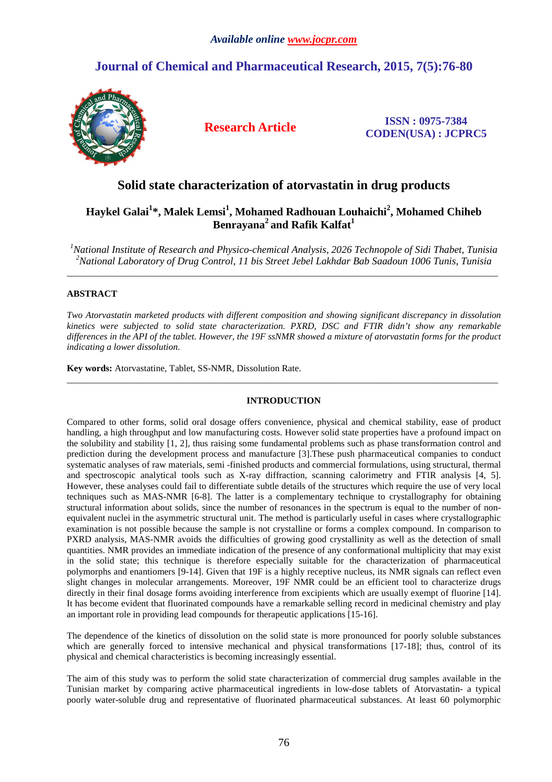# **Journal of Chemical and Pharmaceutical Research, 2015, 7(5):76-80**



**Research Article ISSN : 0975-7384 CODEN(USA) : JCPRC5**

## **Solid state characterization of atorvastatin in drug products**

## **Haykel Galai<sup>1</sup> \*, Malek Lemsi<sup>1</sup> , Mohamed Radhouan Louhaichi<sup>2</sup> , Mohamed Chiheb Benrayana<sup>2</sup>and Rafik Kalfat<sup>1</sup>**

*<sup>1</sup>National Institute of Research and Physico-chemical Analysis, 2026 Technopole of Sidi Thabet, Tunisia <sup>2</sup>National Laboratory of Drug Control, 11 bis Street Jebel Lakhdar Bab Saadoun 1006 Tunis, Tunisia*   $\overline{a}$  , and the contribution of the contribution of the contribution of the contribution of the contribution of the contribution of the contribution of the contribution of the contribution of the contribution of the co

## **ABSTRACT**

*Two Atorvastatin marketed products with different composition and showing significant discrepancy in dissolution kinetics were subjected to solid state characterization. PXRD, DSC and FTIR didn't show any remarkable differences in the API of the tablet. However, the 19F ssNMR showed a mixture of atorvastatin forms for the product indicating a lower dissolution.* 

**Key words:** Atorvastatine, Tablet, SS-NMR, Dissolution Rate.

## **INTRODUCTION**

\_\_\_\_\_\_\_\_\_\_\_\_\_\_\_\_\_\_\_\_\_\_\_\_\_\_\_\_\_\_\_\_\_\_\_\_\_\_\_\_\_\_\_\_\_\_\_\_\_\_\_\_\_\_\_\_\_\_\_\_\_\_\_\_\_\_\_\_\_\_\_\_\_\_\_\_\_\_\_\_\_\_\_\_\_\_\_\_\_\_\_\_\_

Compared to other forms, solid oral dosage offers convenience, physical and chemical stability, ease of product handling, a high throughput and low manufacturing costs. However solid state properties have a profound impact on the solubility and stability [1, 2], thus raising some fundamental problems such as phase transformation control and prediction during the development process and manufacture [3].These push pharmaceutical companies to conduct systematic analyses of raw materials, semi -finished products and commercial formulations, using structural, thermal and spectroscopic analytical tools such as X-ray diffraction, scanning calorimetry and FTIR analysis [4, 5]. However, these analyses could fail to differentiate subtle details of the structures which require the use of very local techniques such as MAS-NMR [6-8]. The latter is a complementary technique to crystallography for obtaining structural information about solids, since the number of resonances in the spectrum is equal to the number of nonequivalent nuclei in the asymmetric structural unit. The method is particularly useful in cases where crystallographic examination is not possible because the sample is not crystalline or forms a complex compound. In comparison to PXRD analysis, MAS-NMR avoids the difficulties of growing good crystallinity as well as the detection of small quantities. NMR provides an immediate indication of the presence of any conformational multiplicity that may exist in the solid state; this technique is therefore especially suitable for the characterization of pharmaceutical polymorphs and enantiomers [9-14]. Given that 19F is a highly receptive nucleus, its NMR signals can reflect even slight changes in molecular arrangements. Moreover, 19F NMR could be an efficient tool to characterize drugs directly in their final dosage forms avoiding interference from excipients which are usually exempt of fluorine [14]. It has become evident that fluorinated compounds have a remarkable selling record in medicinal chemistry and play an important role in providing lead compounds for therapeutic applications [15-16].

The dependence of the kinetics of dissolution on the solid state is more pronounced for poorly soluble substances which are generally forced to intensive mechanical and physical transformations [17-18]; thus, control of its physical and chemical characteristics is becoming increasingly essential.

The aim of this study was to perform the solid state characterization of commercial drug samples available in the Tunisian market by comparing active pharmaceutical ingredients in low-dose tablets of Atorvastatin- a typical poorly water-soluble drug and representative of fluorinated pharmaceutical substances. At least 60 polymorphic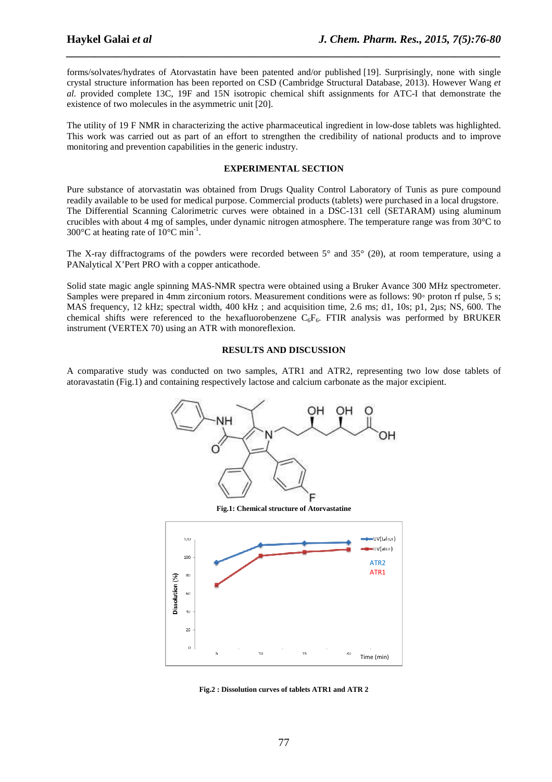forms/solvates/hydrates of Atorvastatin have been patented and/or published [19]. Surprisingly, none with single crystal structure information has been reported on CSD (Cambridge Structural Database, 2013). However Wang *et al.* provided complete 13C, 19F and 15N isotropic chemical shift assignments for ATC-I that demonstrate the existence of two molecules in the asymmetric unit [20].

*\_\_\_\_\_\_\_\_\_\_\_\_\_\_\_\_\_\_\_\_\_\_\_\_\_\_\_\_\_\_\_\_\_\_\_\_\_\_\_\_\_\_\_\_\_\_\_\_\_\_\_\_\_\_\_\_\_\_\_\_\_\_\_\_\_\_\_\_\_\_\_\_\_\_\_\_\_\_*

The utility of 19 F NMR in characterizing the active pharmaceutical ingredient in low-dose tablets was highlighted. This work was carried out as part of an effort to strengthen the credibility of national products and to improve monitoring and prevention capabilities in the generic industry.

#### **EXPERIMENTAL SECTION**

Pure substance of atorvastatin was obtained from Drugs Quality Control Laboratory of Tunis as pure compound readily available to be used for medical purpose. Commercial products (tablets) were purchased in a local drugstore. The Differential Scanning Calorimetric curves were obtained in a DSC-131 cell (SETARAM) using aluminum crucibles with about 4 mg of samples, under dynamic nitrogen atmosphere. The temperature range was from  $30^{\circ}$ C to 300 $^{\circ}$ C at heating rate of 10 $^{\circ}$ C min<sup>-1</sup>.

The X-ray diffractograms of the powders were recorded between 5° and 35° (2θ), at room temperature, using a PANalytical X'Pert PRO with a copper anticathode.

Solid state magic angle spinning MAS-NMR spectra were obtained using a Bruker Avance 300 MHz spectrometer. Samples were prepared in 4mm zirconium rotors. Measurement conditions were as follows: 90◦ proton rf pulse, 5 s; MAS frequency, 12 kHz; spectral width, 400 kHz ; and acquisition time, 2.6 ms; d1, 10s; p1, 2µs; NS, 600. The chemical shifts were referenced to the hexafluorobenzene  $C_6F_6$ . FTIR analysis was performed by BRUKER instrument (VERTEX 70) using an ATR with monoreflexion.

### **RESULTS AND DISCUSSION**

A comparative study was conducted on two samples, ATR1 and ATR2, representing two low dose tablets of atoravastatin (Fig.1) and containing respectively lactose and calcium carbonate as the major excipient.



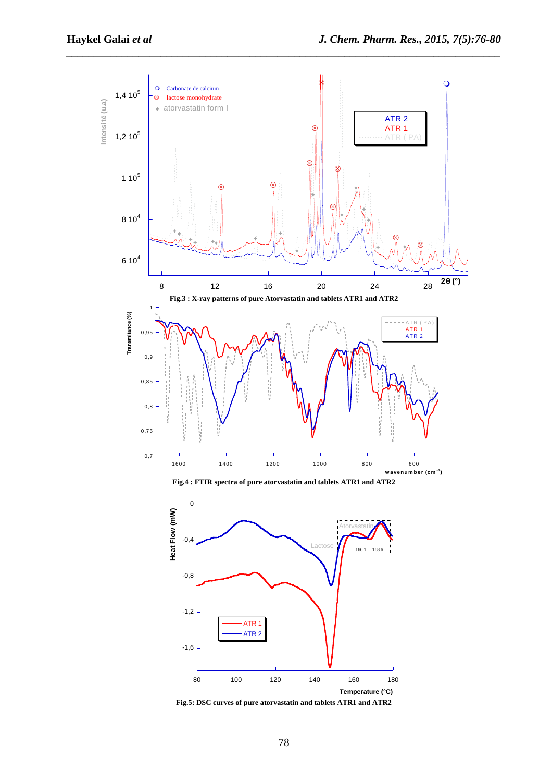



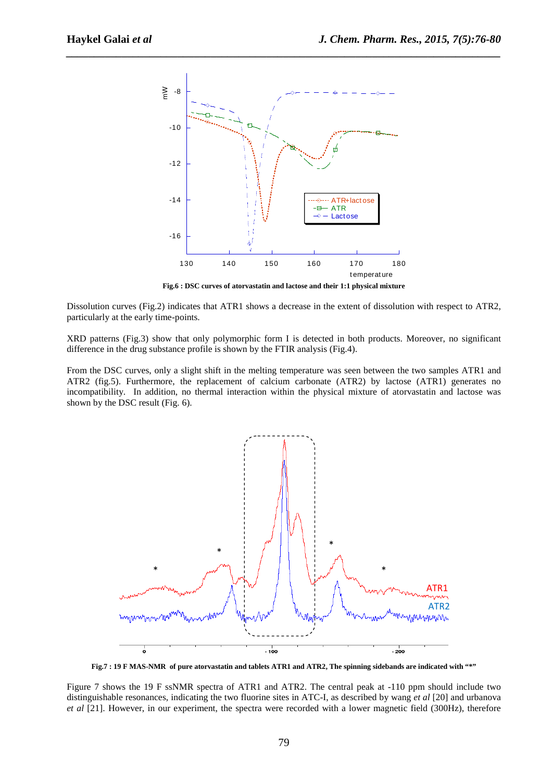

*\_\_\_\_\_\_\_\_\_\_\_\_\_\_\_\_\_\_\_\_\_\_\_\_\_\_\_\_\_\_\_\_\_\_\_\_\_\_\_\_\_\_\_\_\_\_\_\_\_\_\_\_\_\_\_\_\_\_\_\_\_\_\_\_\_\_\_\_\_\_\_\_\_\_\_\_\_\_*

**Fig.6 : DSC curves of atorvastatin and lactose and their 1:1 physical mixture** 

Dissolution curves (Fig.2) indicates that ATR1 shows a decrease in the extent of dissolution with respect to ATR2, particularly at the early time-points.

XRD patterns (Fig.3) show that only polymorphic form I is detected in both products. Moreover, no significant difference in the drug substance profile is shown by the FTIR analysis (Fig.4).

From the DSC curves, only a slight shift in the melting temperature was seen between the two samples ATR1 and ATR2 (fig.5). Furthermore, the replacement of calcium carbonate (ATR2) by lactose (ATR1) generates no incompatibility. In addition, no thermal interaction within the physical mixture of atorvastatin and lactose was shown by the DSC result (Fig. 6).



Fig.7 : 19 F MAS-NMR of pure atorvastatin and tablets ATR1 and ATR2, The spinning sidebands are indicated with "\*"

Figure 7 shows the 19 F ssNMR spectra of ATR1 and ATR2. The central peak at -110 ppm should include two distinguishable resonances, indicating the two fluorine sites in ATC-I, as described by wang *et al* [20] and urbanova *et al* [21]. However, in our experiment, the spectra were recorded with a lower magnetic field (300Hz), therefore